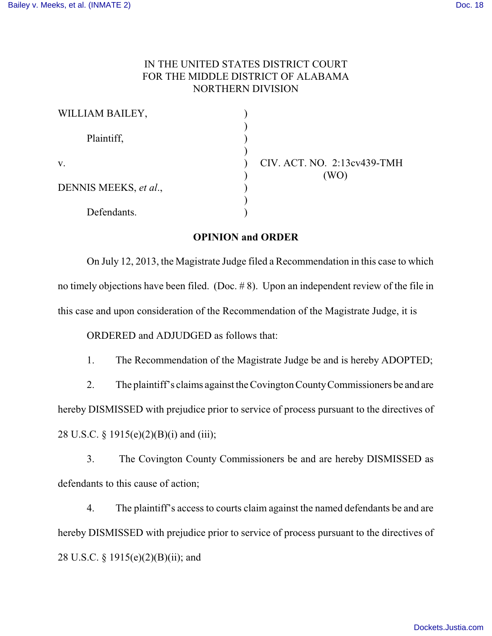## IN THE UNITED STATES DISTRICT COURT FOR THE MIDDLE DISTRICT OF ALABAMA NORTHERN DIVISION

| WILLIAM BAILEY,       |                             |
|-----------------------|-----------------------------|
| Plaintiff,            |                             |
| V.                    | CIV. ACT. NO. 2:13cv439-TMH |
| DENNIS MEEKS, et al., | (WO)                        |
| Defendants.           |                             |

## **OPINION and ORDER**

On July 12, 2013, the Magistrate Judge filed a Recommendation in this case to which no timely objections have been filed. (Doc. # 8). Upon an independent review of the file in this case and upon consideration of the Recommendation of the Magistrate Judge, it is

ORDERED and ADJUDGED as follows that:

1. The Recommendation of the Magistrate Judge be and is hereby ADOPTED;

2. The plaintiff's claims against the Covington CountyCommissioners be and are hereby DISMISSED with prejudice prior to service of process pursuant to the directives of 28 U.S.C. § 1915(e)(2)(B)(i) and (iii);

3. The Covington County Commissioners be and are hereby DISMISSED as defendants to this cause of action;

4. The plaintiff's access to courts claim against the named defendants be and are hereby DISMISSED with prejudice prior to service of process pursuant to the directives of 28 U.S.C. § 1915(e)(2)(B)(ii); and